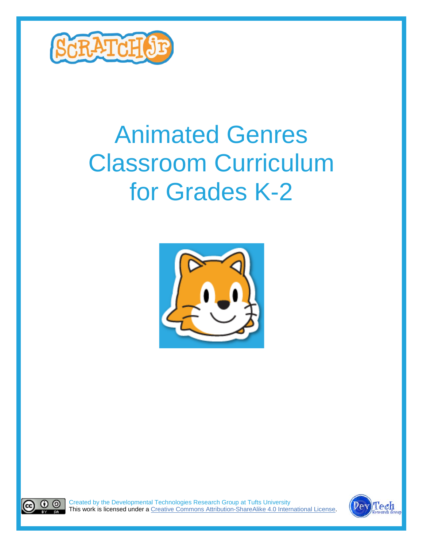

# Animated Genres Classroom Curriculum for Grades K-2





Created by the Developmental Technologies Research Group at Tufts University This work is licensed under a Creative Commons [Attribution-ShareAlike](http://creativecommons.org/licenses/by-sa/4.0/) 4.0 International License

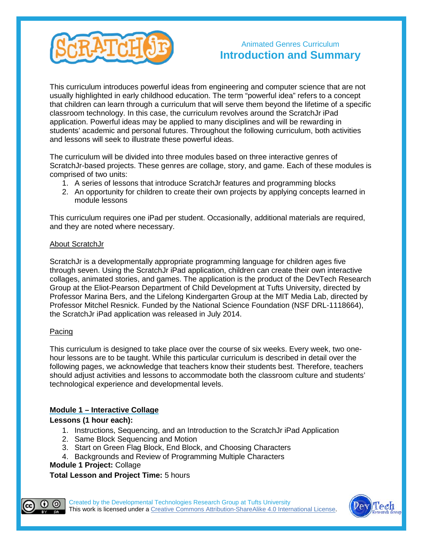

### Animated Genres Curriculum **Introduction and Summary**

This curriculum introduces powerful ideas from engineering and computer science that are not usually highlighted in early childhood education. The term "powerful idea" refers to a concept that children can learn through a curriculum that will serve them beyond the lifetime of a specific classroom technology. In this case, the curriculum revolves around the ScratchJr iPad application. Powerful ideas may be applied to many disciplines and will be rewarding in students' academic and personal futures. Throughout the following curriculum, both activities and lessons will seek to illustrate these powerful ideas.

The curriculum will be divided into three modules based on three interactive genres of ScratchJr-based projects. These genres are collage, story, and game. Each of these modules is comprised of two units:

- 1. A series of lessons that introduce ScratchJr features and programming blocks
- 2. An opportunity for children to create their own projects by applying concepts learned in module lessons

This curriculum requires one iPad per student. Occasionally, additional materials are required, and they are noted where necessary.

#### About ScratchJr

ScratchJr is a developmentally appropriate programming language for children ages five through seven. Using the ScratchJr iPad application, children can create their own interactive collages, animated stories, and games. The application is the product of the DevTech Research Group at the Eliot-Pearson Department of Child Development at Tufts University, directed by Professor Marina Bers, and the Lifelong Kindergarten Group at the MIT Media Lab, directed by Professor Mitchel Resnick. Funded by the National Science Foundation (NSF DRL-1118664), the ScratchJr iPad application was released in July 2014.

#### Pacing

This curriculum is designed to take place over the course of six weeks. Every week, two onehour lessons are to be taught. While this particular curriculum is described in detail over the following pages, we acknowledge that teachers know their students best. Therefore, teachers should adjust activities and lessons to accommodate both the classroom culture and students' technological experience and developmental levels.

#### **Module 1 – Interactive Collage**

**Lessons (1 hour each):**

- 1. Instructions, Sequencing, and an Introduction to the ScratchJr iPad Application
- 2. Same Block Sequencing and Motion
- 3. Start on Green Flag Block, End Block, and Choosing Characters
- 4. Backgrounds and Review of Programming Multiple Characters

#### **Module 1 Project:** Collage

**Total Lesson and Project Time:** 5 hours



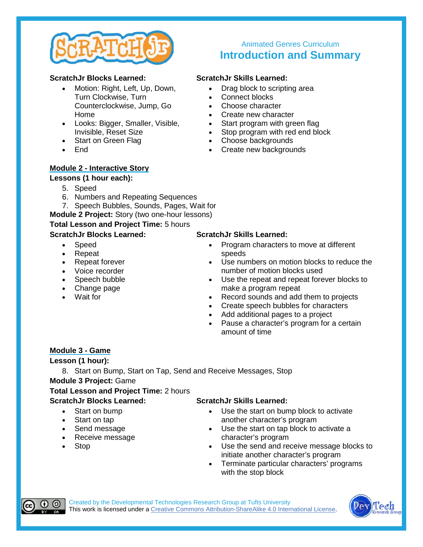

#### **ScratchJr Blocks Learned:**

- Motion: Right, Left, Up, Down, Turn Clockwise, Turn Counterclockwise, Jump, Go Home
- Looks: Bigger, Smaller, Visible, Invisible, Reset Size
- Start on Green Flag
- End

#### **Module 2 - Interactive Story**

#### **Lessons (1 hour each):**

- 5. Speed
- 6. Numbers and Repeating Sequences
- 7. Speech Bubbles, Sounds, Pages, Wait for
- **Module 2 Project:** Story (two one-hour lessons)

#### **Total Lesson and Project Time:** 5 hours

#### **ScratchJr Blocks Learned:**

- Speed
- Repeat
- Repeat forever
- Voice recorder
- Speech bubble
- Change page
- Wait for

## **Introduction and Summary**

Animated Genres Curriculum

#### **ScratchJr Skills Learned:**

- Drag block to scripting area
- Connect blocks
- Choose character
- 
- Start program with green flag
- Create new character<br>• Start program with gre<br>• Stop program with red Stop program with red end block
- Choose backgrounds
- Create new backgrounds

#### **ScratchJr Skills Learned:**

- Program characters to move at different speeds
- Use numbers on motion blocks to reduce the number of motion blocks used
- Use the repeat and repeat forever blocks to make a program repeat
- Record sounds and add them to projects
- Create speech bubbles for characters
- Add additional pages to a project
- Pause a character's program for a certain amount of time

#### **Module 3 - Game**

**Lesson (1 hour):**

8. Start on Bump, Start on Tap, Send and Receive Messages, Stop **Module 3 Project:** Game

**Total Lesson and Project Time:** 2 hours **ScratchJr Blocks Learned:**

- Start on bump
- Start on tap
- Send message
- Receive message
- Stop

#### **ScratchJr Skills Learned:**

- Use the start on bump block to activate another character's program
- Use the start on tap block to activate a character's program
- Use the send and receive message blocks to initiate another character's program
- Terminate particular characters' programs with the stop block



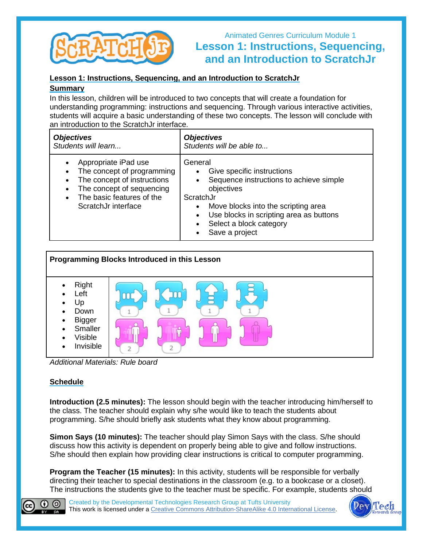

## Animated Genres Curriculum Module 1 **Lesson 1: Instructions, Sequencing, and an Introduction to ScratchJr**

#### **Lesson 1: Instructions, Sequencing, and an Introduction to ScratchJr**

#### **Summary**

In this lesson, children will be introduced to two concepts that will create a foundation for understanding programming: instructions and sequencing. Through various interactive activities, students will acquire a basic understanding of these two concepts. The lesson will conclude with an introduction to the ScratchJr interface.

| <b>Objectives</b>           | <b>Objectives</b>                       |
|-----------------------------|-----------------------------------------|
| Students will learn         | Students will be able to                |
| Appropriate iPad use        | General                                 |
| $\bullet$                   | Give specific instructions              |
| The concept of programming  | Sequence instructions to achieve simple |
| $\bullet$                   | objectives                              |
| The concept of instructions | ScratchJr                               |
| The concept of sequencing   | Move blocks into the scripting area     |
| The basic features of the   | Use blocks in scripting area as buttons |
| $\bullet$                   | Select a block category                 |
| ScratchJr interface         | Save a project                          |



*Additional Materials: Rule board*

#### **Schedule**

**Introduction (2.5 minutes):** The lesson should begin with the teacher introducing him/herself to the class. The teacher should explain why s/he would like to teach the students about programming. S/he should briefly ask students what they know about programming.

**Simon Says (10 minutes):** The teacher should play Simon Says with the class. S/he should discuss how this activity is dependent on properly being able to give and follow instructions. S/he should then explain how providing clear instructions is critical to computer programming.

**Program the Teacher (15 minutes):** In this activity, students will be responsible for verbally directing their teacher to special destinations in the classroom (e.g. to a bookcase or a closet). [The i](http://creativecommons.org/licenses/by-sa/4.0/)nstructions the students give to the teacher must be specific. For example, students should



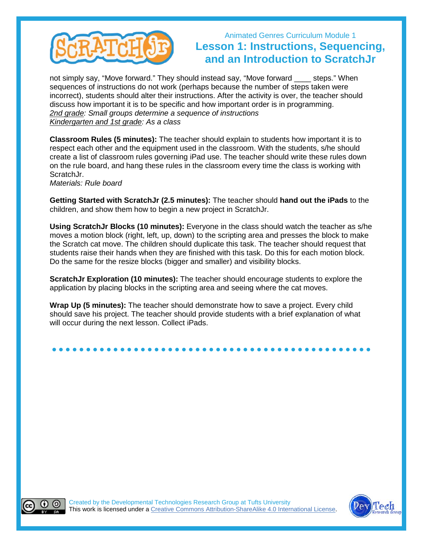

## Animated Genres Curriculum Module 1 **Lesson 1: Instructions, Sequencing, and an Introduction to ScratchJr**

not simply say, "Move forward." They should instead say, "Move forward steps." When sequences of instructions do not work (perhaps because the number of steps taken were incorrect), students should alter their instructions. After the activity is over, the teacher should discuss how important it is to be specific and how important order is in programming. *2nd grade: Small groups determine a sequence of instructions Kindergarten and 1st grade: As a class*

**Classroom Rules (5 minutes):** The teacher should explain to students how important it is to respect each other and the equipment used in the classroom. With the students, s/he should create a list of classroom rules governing iPad use. The teacher should write these rules down on the rule board, and hang these rules in the classroom every time the class is working with ScratchJr.

*Materials: Rule board*

**Getting Started with ScratchJr (2.5 minutes):** The teacher should **hand out the iPads** to the children, and show them how to begin a new project in ScratchJr.

**Using ScratchJr Blocks (10 minutes):** Everyone in the class should watch the teacher as s/he moves a motion block (right, left, up, down) to the scripting area and presses the block to make the Scratch cat move. The children should duplicate this task. The teacher should request that students raise their hands when they are finished with this task. Do this for each motion block. Do the same for the resize blocks (bigger and smaller) and visibility blocks.

**ScratchJr Exploration (10 minutes):** The teacher should encourage students to explore the application by placing blocks in the scripting area and seeing where the cat moves.

**Wrap Up (5 minutes):** The teacher should demonstrate how to save a project. Every child should save his project. The teacher should provide students with a brief explanation of what will occur during the next lesson. Collect iPads.

## **● ● ● ● ● ● ● ● ● ● ● ● ● ● ● ● ● ● ● ● ● ● ● ● ● ● ● ● ● ● ● ● ● ● ● ● ● ● ● ● ● ● ● ● ● ● ●**



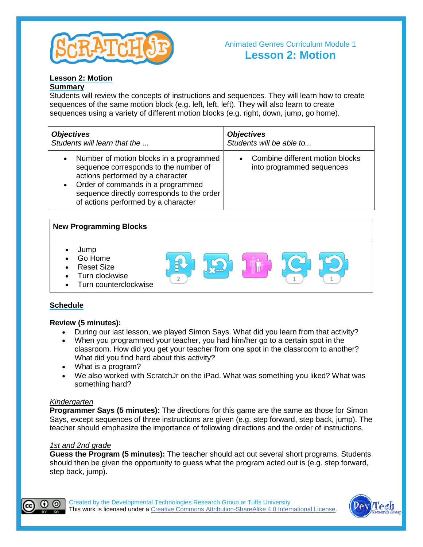

#### Animated Genres Curriculum Module 1 **Lesson 2: Motion**

#### **Lesson 2: Motion**

#### **Summary**

Students will review the concepts of instructions and sequences. They will learn how to create sequences of the same motion block (e.g. left, left, left). They will also learn to create sequences using a variety of different motion blocks (e.g. right, down, jump, go home).

| <b>Objectives</b>                                                                                                                                                                                                                                                        | <b>Objectives</b>                                            |
|--------------------------------------------------------------------------------------------------------------------------------------------------------------------------------------------------------------------------------------------------------------------------|--------------------------------------------------------------|
| Students will learn that the                                                                                                                                                                                                                                             | Students will be able to                                     |
| Number of motion blocks in a programmed<br>$\bullet$<br>sequence corresponds to the number of<br>actions performed by a character<br>Order of commands in a programmed<br>$\bullet$<br>sequence directly corresponds to the order<br>of actions performed by a character | Combine different motion blocks<br>into programmed sequences |

#### **New Programming Blocks**

- Jump
- Go Home
- Reset Size
- Turn clockwise
- Turn counterclockwise

#### **Schedule**

#### **Review (5 minutes):**

- During our last lesson, we played Simon Says. What did you learn from that activity?
- When you programmed your teacher, you had him/her go to a certain spot in the classroom. How did you get your teacher from one spot in the classroom to another? What did you find hard about this activity?
- What is a program?
- We also worked with ScratchJr on the iPad. What was something you liked? What was something hard?

#### *Kindergarten*

**Programmer Says (5 minutes):** The directions for this game are the same as those for Simon Says, except sequences of three instructions are given (e.g. step forward, step back, jump). The teacher should emphasize the importance of following directions and the order of instructions.

#### *1st and 2nd grade*

**Guess the Program (5 minutes):** The teacher should act out several short programs. Students should then be given the opportunity to guess what the program acted out is (e.g. step forward, step back, jump).



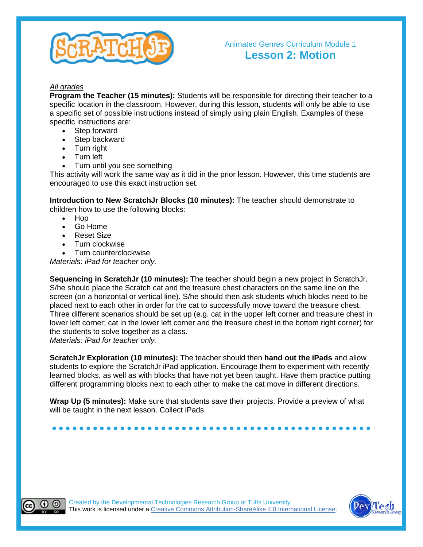

#### *All grades*

**Program the Teacher (15 minutes):** Students will be responsible for directing their teacher to a specific location in the classroom. However, during this lesson, students will only be able to use a specific set of possible instructions instead of simply using plain English. Examples of these specific instructions are:

- Step forward
- Step backward
- Turn right
- Turn left
- Turn until you see something

This activity will work the same way as it did in the prior lesson. However, this time students are encouraged to use this exact instruction set.

**Introduction to New ScratchJr Blocks (10 minutes):** The teacher should demonstrate to children how to use the following blocks:

- Hop
- Go Home
- Reset Size
- Turn clockwise
- Turn counterclockwise

*Materials: iPad for teacher only.*

**Sequencing in ScratchJr (10 minutes):** The teacher should begin a new project in ScratchJr. S/he should place the Scratch cat and the treasure chest characters on the same line on the screen (on a horizontal or vertical line). S/he should then ask students which blocks need to be placed next to each other in order for the cat to successfully move toward the treasure chest. Three different scenarios should be set up (e.g. cat in the upper left corner and treasure chest in lower left corner; cat in the lower left corner and the treasure chest in the bottom right corner) for the students to solve together as a class.

*Materials: iPad for teacher only.*

**ScratchJr Exploration (10 minutes):** The teacher should then **hand out the iPads** and allow students to explore the ScratchJr iPad application. Encourage them to experiment with recently learned blocks, as well as with blocks that have not yet been taught. Have them practice putting different programming blocks next to each other to make the cat move in different directions.

**Wrap Up (5 minutes):** Make sure that students save their projects. Provide a preview of what will be taught in the next lesson. Collect iPads.

**● ● ● ● ● ● ● ● ● ● ● ● ● ● ● ● ● ● ● ● ● ● ● ● ● ● ● ● ● ● ● ● ● ● ● ● ● ● ● ● ● ● ● ● ● ● ●**



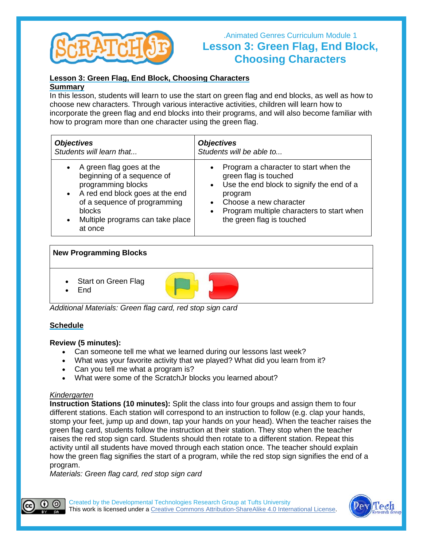

## .Animated Genres Curriculum Module 1 **Lesson 3: Green Flag, End Block, Choosing Characters**

#### **Lesson 3: Green Flag, End Block, Choosing Characters**

#### **Summary**

In this lesson, students will learn to use the start on green flag and end blocks, as well as how to choose new characters. Through various interactive activities, children will learn how to incorporate the green flag and end blocks into their programs, and will also become familiar with how to program more than one character using the green flag.

| <b>Objectives</b>                                                                                                                                                                                                                    | <b>Objectives</b>                                                                                                                                                                                                                                      |
|--------------------------------------------------------------------------------------------------------------------------------------------------------------------------------------------------------------------------------------|--------------------------------------------------------------------------------------------------------------------------------------------------------------------------------------------------------------------------------------------------------|
| Students will learn that                                                                                                                                                                                                             | Students will be able to                                                                                                                                                                                                                               |
| A green flag goes at the<br>$\bullet$<br>beginning of a sequence of<br>programming blocks<br>• A red end block goes at the end<br>of a sequence of programming<br>blocks<br>Multiple programs can take place<br>$\bullet$<br>at once | Program a character to start when the<br>$\bullet$<br>green flag is touched<br>• Use the end block to signify the end of a<br>program<br>Choose a new character<br>Program multiple characters to start when<br>$\bullet$<br>the green flag is touched |

#### **New Programming Blocks**

- Start on Green Flag
- End



*Additional Materials: Green flag card, red stop sign card*

#### **Schedule**

#### **Review (5 minutes):**

- Can someone tell me what we learned during our lessons last week?
- What was your favorite activity that we played? What did you learn from it?
- Can you tell me what a program is?
- What were some of the ScratchJr blocks you learned about?

#### *Kindergarten*

**Instruction Stations (10 minutes):** Split the class into four groups and assign them to four different stations. Each station will correspond to an instruction to follow (e.g. clap your hands, stomp your feet, jump up and down, tap your hands on your head). When the teacher raises the green flag card, students follow the instruction at their station. They stop when the teacher raises the red stop sign card. Students should then rotate to a different station. Repeat this activity until all students have moved through each station once. The teacher should explain how the green flag signifies the start of a program, while the red stop sign signifies the end of a program.

*Materials: Green flag card, red stop sign card*



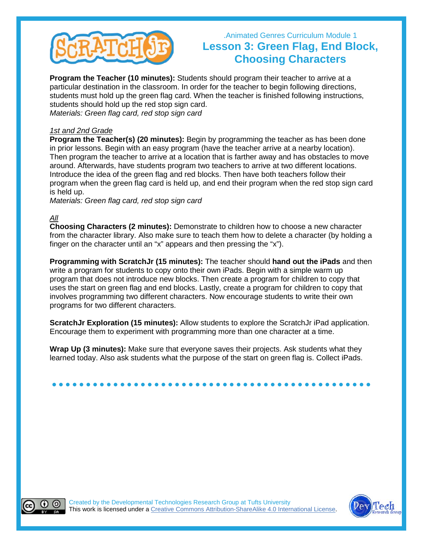

## .Animated Genres Curriculum Module 1 **Lesson 3: Green Flag, End Block, Choosing Characters**

**Program the Teacher (10 minutes):** Students should program their teacher to arrive at a particular destination in the classroom. In order for the teacher to begin following directions, students must hold up the green flag card. When the teacher is finished following instructions, students should hold up the red stop sign card. *Materials: Green flag card, red stop sign card*

#### *1st and 2nd Grade*

**Program the Teacher(s) (20 minutes):** Begin by programming the teacher as has been done in prior lessons. Begin with an easy program (have the teacher arrive at a nearby location). Then program the teacher to arrive at a location that is farther away and has obstacles to move around. Afterwards, have students program two teachers to arrive at two different locations. Introduce the idea of the green flag and red blocks. Then have both teachers follow their program when the green flag card is held up, and end their program when the red stop sign card is held up.

*Materials: Green flag card, red stop sign card*

#### *All*

**Choosing Characters (2 minutes):** Demonstrate to children how to choose a new character from the character library. Also make sure to teach them how to delete a character (by holding a finger on the character until an "x" appears and then pressing the "x").

**Programming with ScratchJr (15 minutes):** The teacher should **hand out the iPads** and then write a program for students to copy onto their own iPads. Begin with a simple warm up program that does not introduce new blocks. Then create a program for children to copy that uses the start on green flag and end blocks. Lastly, create a program for children to copy that involves programming two different characters. Now encourage students to write their own programs for two different characters.

**ScratchJr Exploration (15 minutes):** Allow students to explore the ScratchJr iPad application. Encourage them to experiment with programming more than one character at a time.

**Wrap Up (3 minutes):** Make sure that everyone saves their projects. Ask students what they learned today. Also ask students what the purpose of the start on green flag is. Collect iPads.





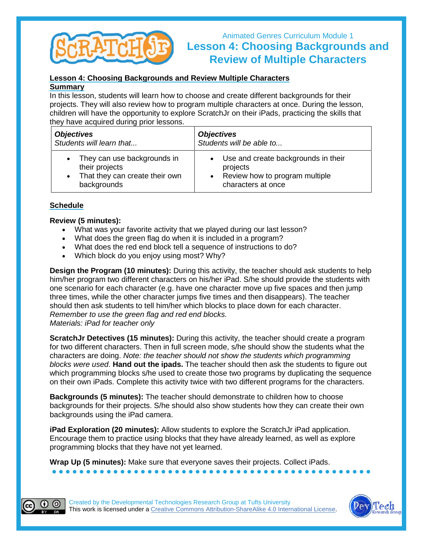

## Animated Genres Curriculum Module 1 **Lesson 4: Choosing Backgrounds and Review of Multiple Characters**

#### **Lesson 4: Choosing Backgrounds and Review Multiple Characters**

#### **Summary**

In this lesson, students will learn how to choose and create different backgrounds for their projects. They will also review how to program multiple characters at once. During the lesson, children will have the opportunity to explore ScratchJr on their iPads, practicing the skills that they have acquired during prior lessons.

| <b>Objectives</b>              | <b>Objectives</b>                     |
|--------------------------------|---------------------------------------|
| Students will learn that       | Students will be able to              |
| They can use backgrounds in    | • Use and create backgrounds in their |
| their projects                 | projects                              |
| That they can create their own | • Review how to program multiple      |
| backgrounds                    | characters at once                    |

#### **Schedule**

#### **Review (5 minutes):**

- What was your favorite activity that we played during our last lesson?
- What does the green flag do when it is included in a program?
- What does the red end block tell a sequence of instructions to do?
- Which block do you enjoy using most? Why?

**Design the Program (10 minutes):** During this activity, the teacher should ask students to help him/her program two different characters on his/her iPad. S/he should provide the students with one scenario for each character (e.g. have one character move up five spaces and then jump three times, while the other character jumps five times and then disappears). The teacher should then ask students to tell him/her which blocks to place down for each character. *Remember to use the green flag and red end blocks. Materials: iPad for teacher only*

**ScratchJr Detectives (15 minutes):** During this activity, the teacher should create a program for two different characters. Then in full screen mode, s/he should show the students what the characters are doing. *Note: the teacher should not show the students which programming blocks were used*. **Hand out the ipads.** The teacher should then ask the students to figure out which programming blocks s/he used to create those two programs by duplicating the sequence on their own iPads. Complete this activity twice with two different programs for the characters.

**Backgrounds (5 minutes):** The teacher should demonstrate to children how to choose backgrounds for their projects. S/he should also show students how they can create their own backgrounds using the iPad camera.

**iPad Exploration (20 minutes):** Allow students to explore the ScratchJr iPad application. Encourage them to practice using blocks that they have already learned, as well as explore programming blocks that they have not yet learned.

**● ● ● ● ● ● ● ● ● ● ● ● ● ● ● ● ● ● ● ● ● ● ● ● ● ● ● ● ● ● ● ● ● ● ● ● ● ● ● ● ● ● ● ● ● ● ●**

**Wrap Up (5 minutes):** Make sure that everyone saves their projects. Collect iPads.



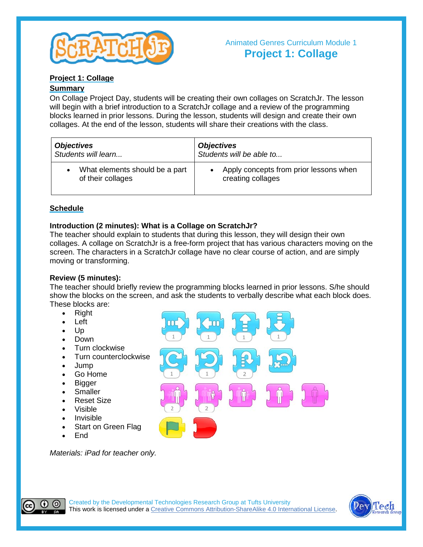

#### **Project 1: Collage**

#### **Summary**

On Collage Project Day, students will be creating their own collages on ScratchJr. The lesson will begin with a brief introduction to a ScratchJr collage and a review of the programming blocks learned in prior lessons. During the lesson, students will design and create their own collages. At the end of the lesson, students will share their creations with the class.

| <b>Objectives</b>              | <b>Objectives</b>                      |
|--------------------------------|----------------------------------------|
| Students will learn            | Students will be able to               |
| What elements should be a part | Apply concepts from prior lessons when |
| of their collages              | creating collages                      |

#### **Schedule**

#### **Introduction (2 minutes): What is a Collage on ScratchJr?**

The teacher should explain to students that during this lesson, they will design their own collages. A collage on ScratchJr is a free-form project that has various characters moving on the screen. The characters in a ScratchJr collage have no clear course of action, and are simply moving or transforming.

#### **Review (5 minutes):**

The teacher should briefly review the programming blocks learned in prior lessons. S/he should show the blocks on the screen, and ask the students to verbally describe what each block does. These blocks are:

- Right
- Left
- Up
- Down
- Turn clockwise
- Turn counterclockwise
- Jump
- Go Home
- Bigger
- **Smaller**
- Reset Size
- Visible
- **Invisible**
- Start on Green Flag
- End

*Materials: iPad for teacher only.*





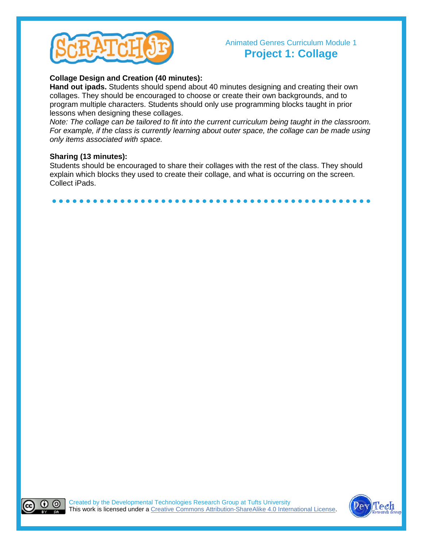

### Animated Genres Curriculum Module 1 **Project 1: Collage**

#### **Collage Design and Creation (40 minutes):**

**Hand out ipads.** Students should spend about 40 minutes designing and creating their own collages. They should be encouraged to choose or create their own backgrounds, and to program multiple characters. Students should only use programming blocks taught in prior lessons when designing these collages.

*Note: The collage can be tailored to fit into the current curriculum being taught in the classroom. For example, if the class is currently learning about outer space, the collage can be made using only items associated with space.*

#### **Sharing (13 minutes):**

Students should be encouraged to share their collages with the rest of the class. They should explain which blocks they used to create their collage, and what is occurring on the screen. Collect iPads.

**● ● ● ● ● ● ● ● ● ● ● ● ● ● ● ● ● ● ● ● ● ● ● ● ● ● ● ● ● ● ● ● ● ● ● ● ● ● ● ● ● ● ● ● ● ● ●**



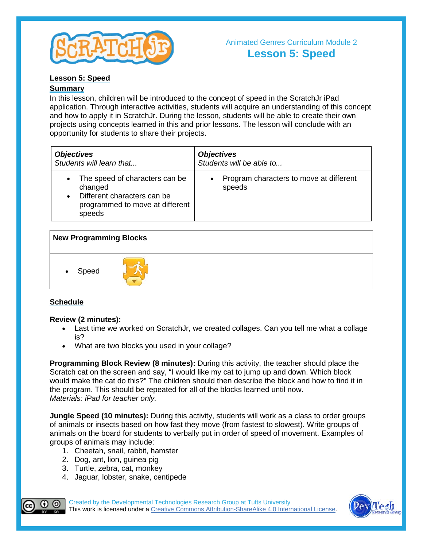

#### **Lesson 5: Speed**

#### **Summary**

In this lesson, children will be introduced to the concept of speed in the ScratchJr iPad application. Through interactive activities, students will acquire an understanding of this concept and how to apply it in ScratchJr. During the lesson, students will be able to create their own projects using concepts learned in this and prior lessons. The lesson will conclude with an opportunity for students to share their projects.

| <b>Objectives</b>                                                                                                     | <b>Objectives</b>                                              |
|-----------------------------------------------------------------------------------------------------------------------|----------------------------------------------------------------|
| Students will learn that                                                                                              | Students will be able to                                       |
| The speed of characters can be<br>changed<br>Different characters can be<br>programmed to move at different<br>speeds | Program characters to move at different<br>$\bullet$<br>speeds |

| <b>New Programming Blocks</b> |  |  |
|-------------------------------|--|--|
| Speed<br>$\bullet$            |  |  |

#### **Schedule**

#### **Review (2 minutes):**

- Last time we worked on ScratchJr, we created collages. Can you tell me what a collage is?
- What are two blocks you used in your collage?

**Programming Block Review (8 minutes):** During this activity, the teacher should place the Scratch cat on the screen and say, "I would like my cat to jump up and down. Which block would make the cat do this?" The children should then describe the block and how to find it in the program. This should be repeated for all of the blocks learned until now. *Materials: iPad for teacher only.*

**Jungle Speed (10 minutes):** During this activity, students will work as a class to order groups of animals or insects based on how fast they move (from fastest to slowest). Write groups of animals on the board for students to verbally put in order of speed of movement. Examples of groups of animals may include:

- 1. Cheetah, snail, rabbit, hamster
- 2. Dog, ant, lion, guinea pig
- 3. Turtle, zebra, cat, monkey
- 4. Jaguar, lobster, snake, centipede



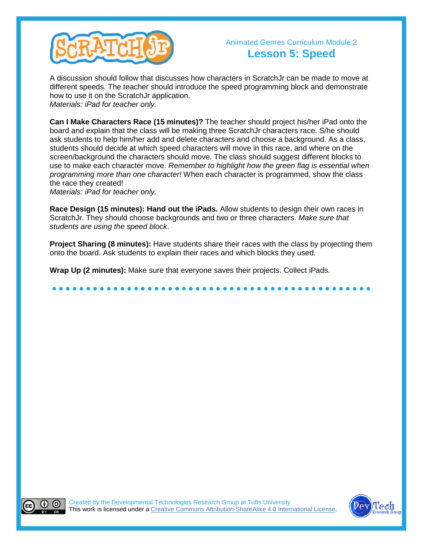

## Animated Genres Curriculum Module 2 **Lesson 5: Speed**

A discussion should follow that discusses how characters in ScratchJr can be made to move at different speeds. The teacher should introduce the speed programming block and demonstrate how to use it on the ScratchJr application. *Materials: iPad for teacher only.*

**Can I Make Characters Race (15 minutes)?** The teacher should project his/her iPad onto the board and explain that the class will be making three ScratchJr characters race. S/he should ask students to help him/her add and delete characters and choose a background. As a class, students should decide at which speed characters will move in this race, and where on the screen/background the characters should move. The class should suggest different blocks to use to make each character move. *Remember to highlight how the green flag is essential when programming more than one character!* When each character is programmed, show the class the race they created!

*Materials: iPad for teacher only.*

**Race Design (15 minutes): Hand out the iPads.** Allow students to design their own races in ScratchJr. They should choose backgrounds and two or three characters. *Make sure that students are using the speed block*.

**Project Sharing (8 minutes):** Have students share their races with the class by projecting them onto the board. Ask students to explain their races and which blocks they used.

**● ● ● ● ● ● ● ● ● ● ● ● ● ● ● ● ● ● ● ● ● ● ● ● ● ● ● ● ● ● ● ● ● ● ● ● ● ● ● ● ● ● ● ● ● ● ●**

**Wrap Up (2 minutes):** Make sure that everyone saves their projects. Collect iPads.



(cc

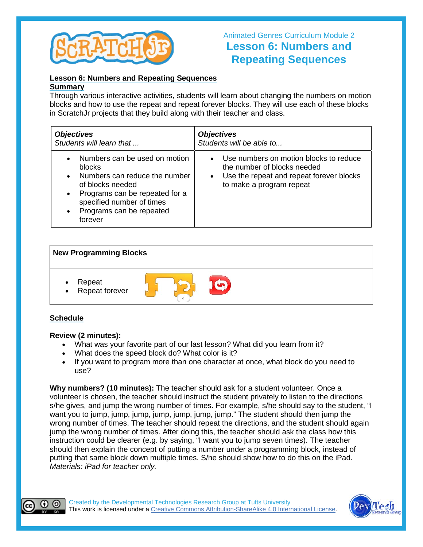

## Animated Genres Curriculum Module 2 **Lesson 6: Numbers and Repeating Sequences**

#### **Lesson 6: Numbers and Repeating Sequences**

#### **Summary**

Through various interactive activities, students will learn about changing the numbers on motion blocks and how to use the repeat and repeat forever blocks. They will use each of these blocks in ScratchJr projects that they build along with their teacher and class.

| <b>Objectives</b>                                                                                                                                                                                                                                      | <b>Objectives</b>                                                                                                                                                       |
|--------------------------------------------------------------------------------------------------------------------------------------------------------------------------------------------------------------------------------------------------------|-------------------------------------------------------------------------------------------------------------------------------------------------------------------------|
| Students will learn that                                                                                                                                                                                                                               | Students will be able to                                                                                                                                                |
| Numbers can be used on motion<br>$\bullet$<br>blocks<br>Numbers can reduce the number<br>$\bullet$<br>of blocks needed<br>Programs can be repeated for a<br>$\bullet$<br>specified number of times<br>Programs can be repeated<br>$\bullet$<br>forever | Use numbers on motion blocks to reduce<br>$\bullet$<br>the number of blocks needed<br>Use the repeat and repeat forever blocks<br>$\bullet$<br>to make a program repeat |

#### **New Programming Blocks**

- Repeat
- Repeat forever

## **Schedule**

#### **Review (2 minutes):**

- What was your favorite part of our last lesson? What did you learn from it?
- What does the speed block do? What color is it?
- If you want to program more than one character at once, what block do you need to use?

**Why numbers? (10 minutes):** The teacher should ask for a student volunteer. Once a volunteer is chosen, the teacher should instruct the student privately to listen to the directions s/he gives, and jump the wrong number of times. For example, s/he should say to the student, "I want you to jump, jump, jump, jump, jump, jump, jump." The student should then jump the wrong number of times. The teacher should repeat the directions, and the student should again jump the wrong number of times. After doing this, the teacher should ask the class how this instruction could be clearer (e.g. by saying, "I want you to jump seven times). The teacher should then explain the concept of putting a number under a programming block, instead of putting that same block down multiple times. S/he should show how to do this on the iPad. *Materials: iPad for teacher only.*



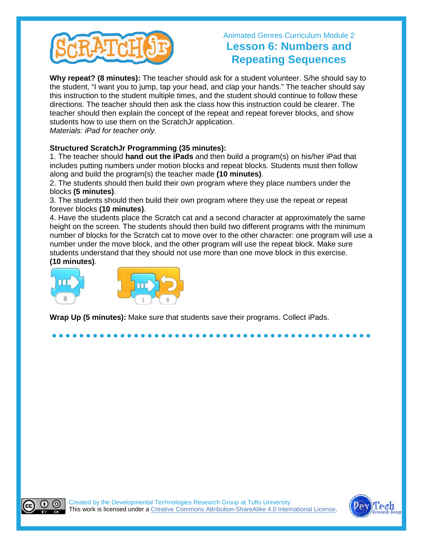

## Animated Genres Curriculum Module 2 **Lesson 6: Numbers and Repeating Sequences**

**Why repeat? (8 minutes):** The teacher should ask for a student volunteer. S/he should say to the student, "I want you to jump, tap your head, and clap your hands." The teacher should say this instruction to the student multiple times, and the student should continue to follow these directions. The teacher should then ask the class how this instruction could be clearer. The teacher should then explain the concept of the repeat and repeat forever blocks, and show students how to use them on the ScratchJr application. *Materials: iPad for teacher only.*

#### **Structured ScratchJr Programming (35 minutes):**

1. The teacher should **hand out the iPads** and then build a program(s) on his/her iPad that includes putting numbers under motion blocks and repeat blocks. Students must then follow along and build the program(s) the teacher made **(10 minutes)**.

2. The students should then build their own program where they place numbers under the blocks **(5 minutes)**.

3. The students should then build their own program where they use the repeat or repeat forever blocks **(10 minutes)**.

4. Have the students place the Scratch cat and a second character at approximately the same height on the screen. The students should then build two different programs with the minimum number of blocks for the Scratch cat to move over to the other character: one program will use a number under the move block, and the other program will use the repeat block. Make sure students understand that they should not use more than one move block in this exercise. **(10 minutes)**.

**● ● ● ● ● ● ● ● ● ● ● ● ● ● ● ● ● ● ● ● ● ● ● ● ● ● ● ● ● ● ● ● ● ● ● ● ● ● ● ● ● ● ● ● ● ● ●**



**Wrap Up (5 minutes):** Make sure that students save their programs. Collect iPads.



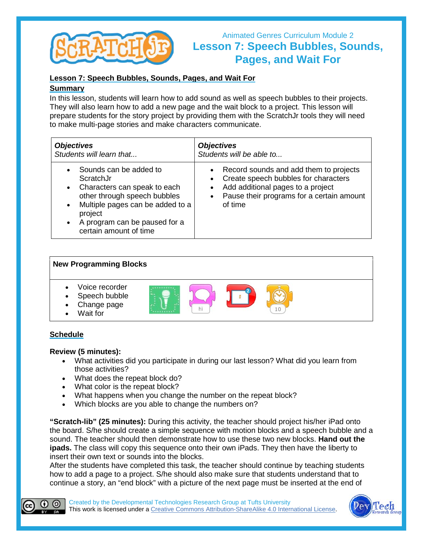

## Animated Genres Curriculum Module 2 **Lesson 7: Speech Bubbles, Sounds, Pages, and Wait For**

#### **Lesson 7: Speech Bubbles, Sounds, Pages, and Wait For**

#### **Summary**

In this lesson, students will learn how to add sound as well as speech bubbles to their projects. They will also learn how to add a new page and the wait block to a project. This lesson will prepare students for the story project by providing them with the ScratchJr tools they will need to make multi-page stories and make characters communicate.

| <b>Objectives</b>                                                                                                                                                                                                                                                 | <b>Objectives</b>                                                                                                                                                             |
|-------------------------------------------------------------------------------------------------------------------------------------------------------------------------------------------------------------------------------------------------------------------|-------------------------------------------------------------------------------------------------------------------------------------------------------------------------------|
| Students will learn that                                                                                                                                                                                                                                          | Students will be able to                                                                                                                                                      |
| Sounds can be added to<br>$\bullet$<br>ScratchJr<br>Characters can speak to each<br>$\bullet$<br>other through speech bubbles<br>Multiple pages can be added to a<br>$\bullet$<br>project<br>A program can be paused for a<br>$\bullet$<br>certain amount of time | • Record sounds and add them to projects<br>Create speech bubbles for characters<br>Add additional pages to a project<br>Pause their programs for a certain amount<br>of time |

## **New Programming Blocks** • Voice recorder Speech bubble Change page Wait for

#### **Schedule**

#### **Review (5 minutes):**

- What activities did you participate in during our last lesson? What did you learn from those activities?
- What does the repeat block do?
- What color is the repeat block?
- What happens when you change the number on the repeat block?
- Which blocks are you able to change the numbers on?

**"Scratch-lib" (25 minutes):** During this activity, the teacher should project his/her iPad onto the board. S/he should create a simple sequence with motion blocks and a speech bubble and a sound. The teacher should then demonstrate how to use these two new blocks. **Hand out the ipads.** The class will copy this sequence onto their own iPads. They then have the liberty to insert their own text or sounds into the blocks.

After the students have completed this task, the teacher should continue by teaching students how to add a page to a project. S/he should also make sure that students understand that to continue a story, an "end block" with a picture of the next page must be inserted at the end of



Created by the Developmental Technologies Research Group at Tufts University This work is licensed under a Creative Commons [Attribution-ShareAlike](http://creativecommons.org/licenses/by-sa/4.0/) 4.0 International License.

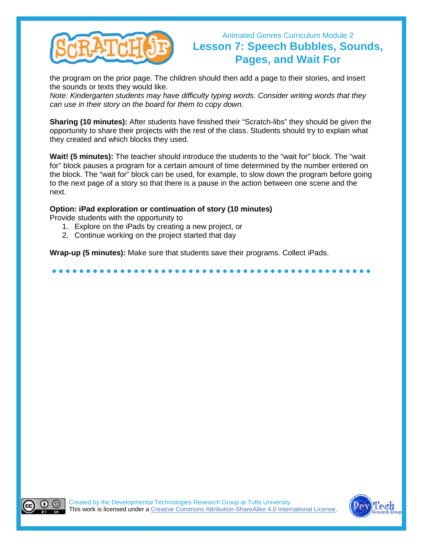

## Animated Genres Curriculum Module 2 **Lesson 7: Speech Bubbles, Sounds, Pages, and Wait For**

the program on the prior page. The children should then add a page to their stories, and insert the sounds or texts they would like.

*Note: Kindergarten students may have difficulty typing words. Consider writing words that they can use in their story on the board for them to copy down.*

**Sharing (10 minutes):** After students have finished their "Scratch-libs" they should be given the opportunity to share their projects with the rest of the class. Students should try to explain what they created and which blocks they used.

**Wait! (5 minutes):** The teacher should introduce the students to the "wait for" block. The "wait for" block pauses a program for a certain amount of time determined by the number entered on the block. The "wait for" block can be used, for example, to slow down the program before going to the next page of a story so that there is a pause in the action between one scene and the next.

**● ● ● ● ● ● ● ● ● ● ● ● ● ● ● ● ● ● ● ● ● ● ● ● ● ● ● ● ● ● ● ● ● ● ● ● ● ● ● ● ● ● ● ● ● ● ●**

#### **Option: iPad exploration or continuation of story (10 minutes)**

Provide students with the opportunity to

(cc)

- 1. Explore on the iPads by creating a new project, or
- 2. Continue working on the project started that day

**Wrap-up (5 minutes):** Make sure that students save their programs. Collect iPads.



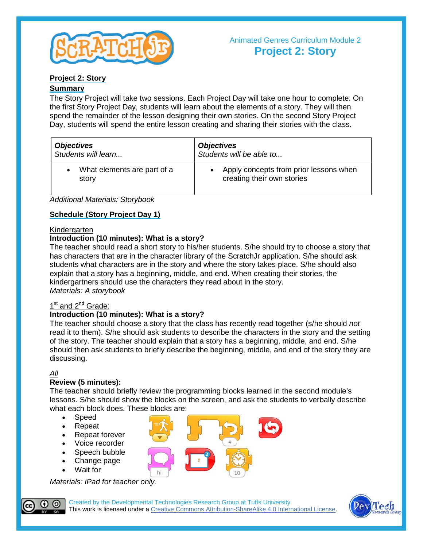

#### **Project 2: Story**

#### **Summary**

The Story Project will take two sessions. Each Project Day will take one hour to complete. On the first Story Project Day, students will learn about the elements of a story. They will then spend the remainder of the lesson designing their own stories. On the second Story Project Day, students will spend the entire lesson creating and sharing their stories with the class.

| <b>Objectives</b>           | <b>Objectives</b>                      |
|-----------------------------|----------------------------------------|
| Students will learn         | Students will be able to               |
| What elements are part of a | Apply concepts from prior lessons when |
| story                       | creating their own stories             |

*Additional Materials: Storybook*

#### **Schedule (Story Project Day 1)**

#### Kindergarten

#### **Introduction (10 minutes): What is a story?**

The teacher should read a short story to his/her students. S/he should try to choose a story that has characters that are in the character library of the ScratchJr application. S/he should ask students what characters are in the story and where the story takes place. S/he should also explain that a story has a beginning, middle, and end. When creating their stories, the kindergartners should use the characters they read about in the story. *Materials: A storybook*

#### 1<sup>st</sup> and 2<sup>nd</sup> Grade:

#### **Introduction (10 minutes): What is a story?**

The teacher should choose a story that the class has recently read together (s/he should *not* read it to them). S/he should ask students to describe the characters in the story and the setting of the story. The teacher should explain that a story has a beginning, middle, and end. S/he should then ask students to briefly describe the beginning, middle, and end of the story they are discussing.

#### *All*

#### **Review (5 minutes):**

The teacher should briefly review the programming blocks learned in the second module's lessons. S/he should show the blocks on the screen, and ask the students to verbally describe what each block does. These blocks are:

- **Speed**
- Repeat
- Repeat forever
- Voice recorder
- Speech bubble
- Change page
- Wait for

*Materials: iPad for teacher only.*



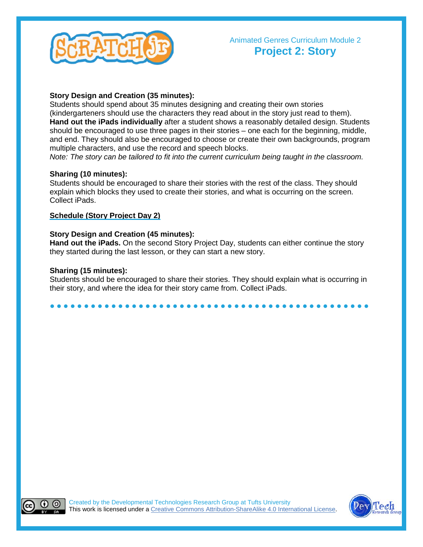

#### **Story Design and Creation (35 minutes):**

Students should spend about 35 minutes designing and creating their own stories (kindergarteners should use the characters they read about in the story just read to them). **Hand out the iPads individually** after a student shows a reasonably detailed design. Students should be encouraged to use three pages in their stories – one each for the beginning, middle, and end. They should also be encouraged to choose or create their own backgrounds, program multiple characters, and use the record and speech blocks.

*Note: The story can be tailored to fit into the current curriculum being taught in the classroom.* 

#### **Sharing (10 minutes):**

Students should be encouraged to share their stories with the rest of the class. They should explain which blocks they used to create their stories, and what is occurring on the screen. Collect iPads.

#### **Schedule (Story Project Day 2)**

#### **Story Design and Creation (45 minutes):**

**Hand out the iPads.** On the second Story Project Day, students can either continue the story they started during the last lesson, or they can start a new story.

#### **Sharing (15 minutes):**

Students should be encouraged to share their stories. They should explain what is occurring in their story, and where the idea for their story came from. Collect iPads.

#### **● ● ● ● ● ● ● ● ● ● ● ● ● ● ● ● ● ● ● ● ● ● ● ● ● ● ● ● ● ● ● ● ● ● ● ● ● ● ● ● ● ● ● ● ● ● ●**



(cc

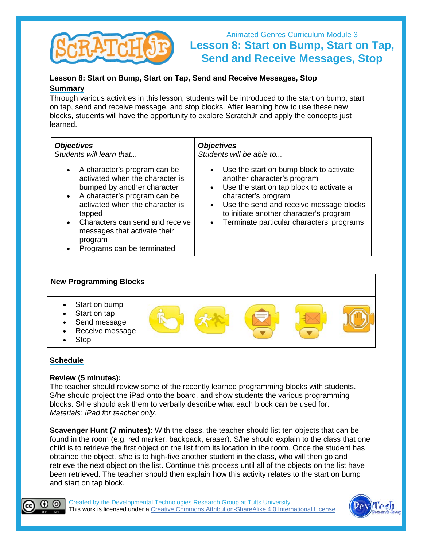

## Animated Genres Curriculum Module 3 **Lesson 8: Start on Bump, Start on Tap, Send and Receive Messages, Stop**

#### **Lesson 8: Start on Bump, Start on Tap, Send and Receive Messages, Stop Summary**

Through various activities in this lesson, students will be introduced to the start on bump, start on tap, send and receive message, and stop blocks. After learning how to use these new blocks, students will have the opportunity to explore ScratchJr and apply the concepts just learned.

| <b>Objectives</b>                                                                                                                                                                                                                                                                                                              | <b>Objectives</b>                                                                                                                                                                                                                                                                               |
|--------------------------------------------------------------------------------------------------------------------------------------------------------------------------------------------------------------------------------------------------------------------------------------------------------------------------------|-------------------------------------------------------------------------------------------------------------------------------------------------------------------------------------------------------------------------------------------------------------------------------------------------|
| Students will learn that                                                                                                                                                                                                                                                                                                       | Students will be able to                                                                                                                                                                                                                                                                        |
| A character's program can be<br>$\bullet$<br>activated when the character is<br>bumped by another character<br>A character's program can be<br>$\bullet$<br>activated when the character is<br>tapped<br>Characters can send and receive<br>$\bullet$<br>messages that activate their<br>program<br>Programs can be terminated | • Use the start on bump block to activate<br>another character's program<br>• Use the start on tap block to activate a<br>character's program<br>• Use the send and receive message blocks<br>to initiate another character's program<br>Terminate particular characters' programs<br>$\bullet$ |



#### **Schedule**

#### **Review (5 minutes):**

The teacher should review some of the recently learned programming blocks with students. S/he should project the iPad onto the board, and show students the various programming blocks. S/he should ask them to verbally describe what each block can be used for. *Materials: iPad for teacher only.*

**Scavenger Hunt (7 minutes):** With the class, the teacher should list ten objects that can be found in the room (e.g. red marker, backpack, eraser). S/he should explain to the class that one child is to retrieve the first object on the list from its location in the room. Once the student has obtained the object, s/he is to high-five another student in the class, who will then go and retrieve the next object on the list. Continue this process until all of the objects on the list have been retrieved. The teacher should then explain how this activity relates to the start on bump and start on tap block.



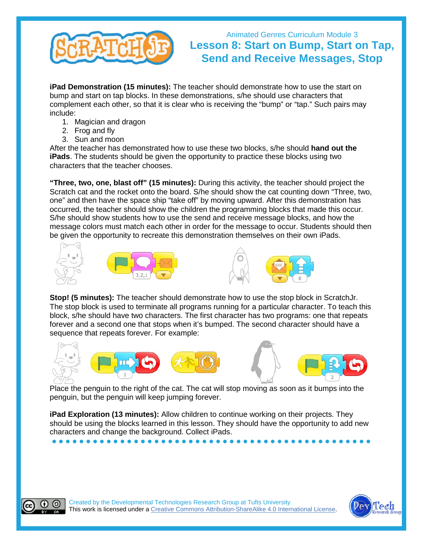

## Animated Genres Curriculum Module 3 **Lesson 8: Start on Bump, Start on Tap, Send and Receive Messages, Stop**

**iPad Demonstration (15 minutes):** The teacher should demonstrate how to use the start on bump and start on tap blocks. In these demonstrations, s/he should use characters that complement each other, so that it is clear who is receiving the "bump" or "tap." Such pairs may include:

- 1. Magician and dragon
- 2. Frog and fly
- 3. Sun and moon

After the teacher has demonstrated how to use these two blocks, s/he should **hand out the iPads**. The students should be given the opportunity to practice these blocks using two characters that the teacher chooses.

**"Three, two, one, blast off" (15 minutes):** During this activity, the teacher should project the Scratch cat and the rocket onto the board. S/he should show the cat counting down "Three, two, one" and then have the space ship "take off" by moving upward. After this demonstration has occurred, the teacher should show the children the programming blocks that made this occur. S/he should show students how to use the send and receive message blocks, and how the message colors must match each other in order for the message to occur. Students should then be given the opportunity to recreate this demonstration themselves on their own iPads.







**Stop! (5 minutes):** The teacher should demonstrate how to use the stop block in ScratchJr. The stop block is used to terminate all programs running for a particular character. To teach this block, s/he should have two characters. The first character has two programs: one that repeats forever and a second one that stops when it's bumped. The second character should have a sequence that repeats forever. For example:



 Place the penguin to the right of the cat. The cat will stop moving as soon as it bumps into the penguin, but the penguin will keep jumping forever.

**iPad Exploration (13 minutes):** Allow children to continue working on their projects. They should be using the blocks learned in this lesson. They should have the opportunity to add new characters and change the background. Collect iPads.

**● ● ● ● ● ● ● ● ● ● ● ● ● ● ● ● ● ● ● ● ● ● ● ● ● ● ● ● ● ● ● ● ● ● ● ● ● ● ● ● ● ● ● ● ● ● ●**